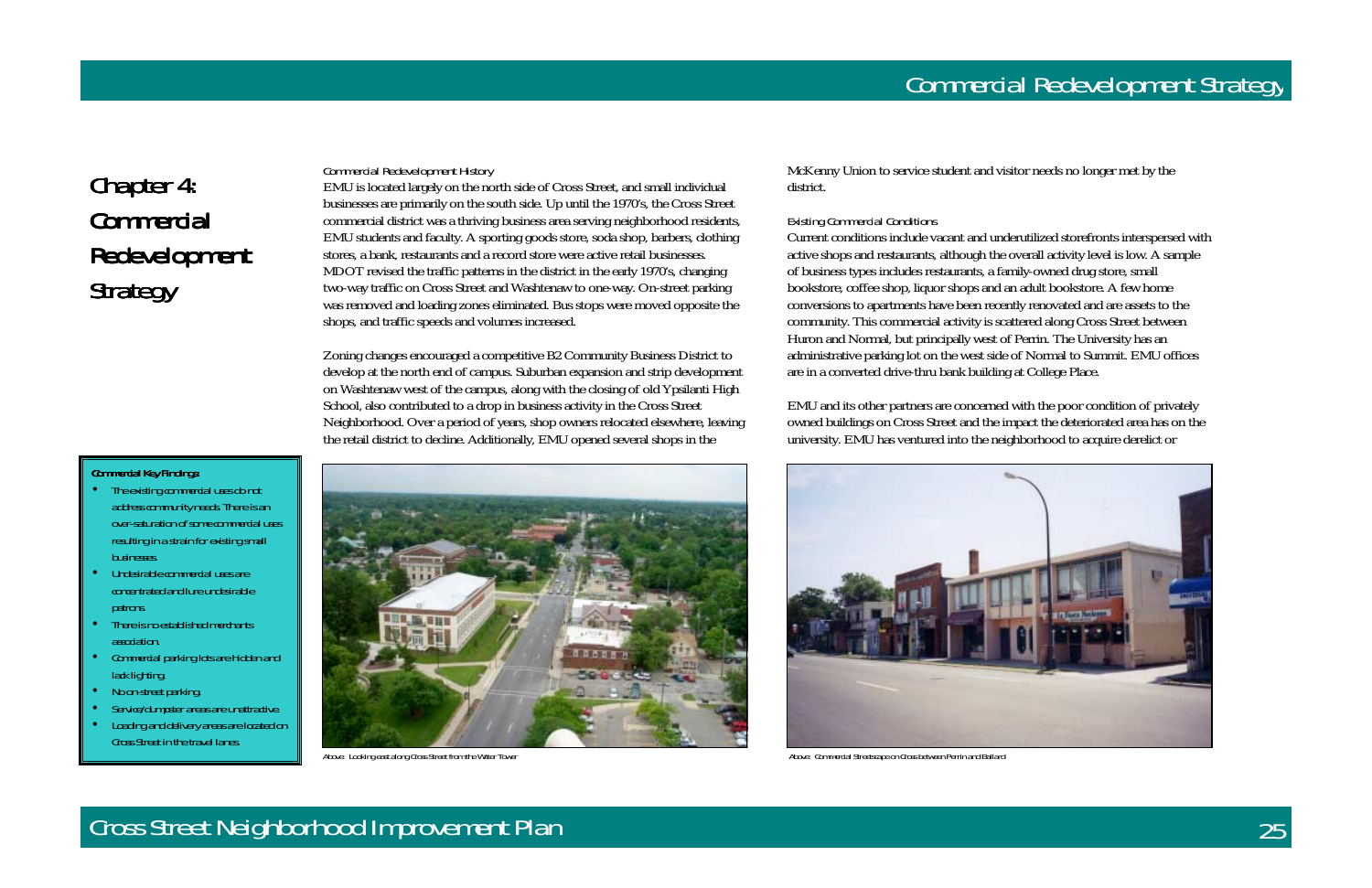# Chapter 4: **Commercial** Redevelopment Strategy

#### Commercial Key Findings:

### Cross Street Neighborhood Improvement Plan 25



### Commercial Redevelopment History

EMU is located largely on the north side of Cross Street, and small individual businesses are primarily on the south side. Up until the 1970's, the Cross Street commercial district was a thriving business area serving neighborhood residents, EMU students and faculty. A sporting goods store, soda shop, barbers, clothing stores, a bank, restaurants and a record store were active retail businesses. MDOT revised the traffic patterns in the district in the early 1970's, changing two-way traffic on Cross Street and Washtenaw to one-way. On-street parking was removed and loading zones eliminated. Bus stops were moved opposite the shops, and traffic speeds and volumes increased.

Zoning changes encouraged a competitive B2 Community Business District to develop at the north end of campus. Suburban expansion and strip development on Washtenaw west of the campus, along with the closing of old Ypsilanti High School, also contributed to a drop in business activity in the Cross Street Neighborhood. Over a period of years, shop owners relocated elsewhere, leaving the retail district to decline. Additionally, EMU opened several shops in the



McKenny Union to service student and visitor needs no longer met by the district.

#### Existing Commercial Conditions

- The existing commercial uses do not address community needs. There is an over-saturation of some commercial uses resulting in a strain for existing small businesses.
- Undesirable commercial uses are concentrated and lure undesirable patrons.
- There is no established merchants association.
- Commercial parking lots are hidden and lack lighting.
- No on-street parking.
- Service/dumpster areas are unattractive.
- Loading and delivery areas are located on Cross Street in the travel lanes.

Current conditions include vacant and underutilized storefronts interspersed with active shops and restaurants, although the overall activity level is low. A sample of business types includes restaurants, a family-owned drug store, small bookstore, coffee shop, liquor shops and an adult bookstore. A few home conversions to apartments have been recently renovated and are assets to the community. This commercial activity is scattered along Cross Street between Huron and Normal, but principally west of Perrin. The University has an administrative parking lot on the west side of Normal to Summit. EMU offices are in a converted drive-thru bank building at College Place.

EMU and its other partners are concerned with the poor condition of privately owned buildings on Cross Street and the impact the deteriorated area has on the university. EMU has ventured into the neighborhood to acquire derelict or



Above: Looking east along Cross Street from the Water Tower Above: Commercial Streetscape on Cross between Perrin and Ballard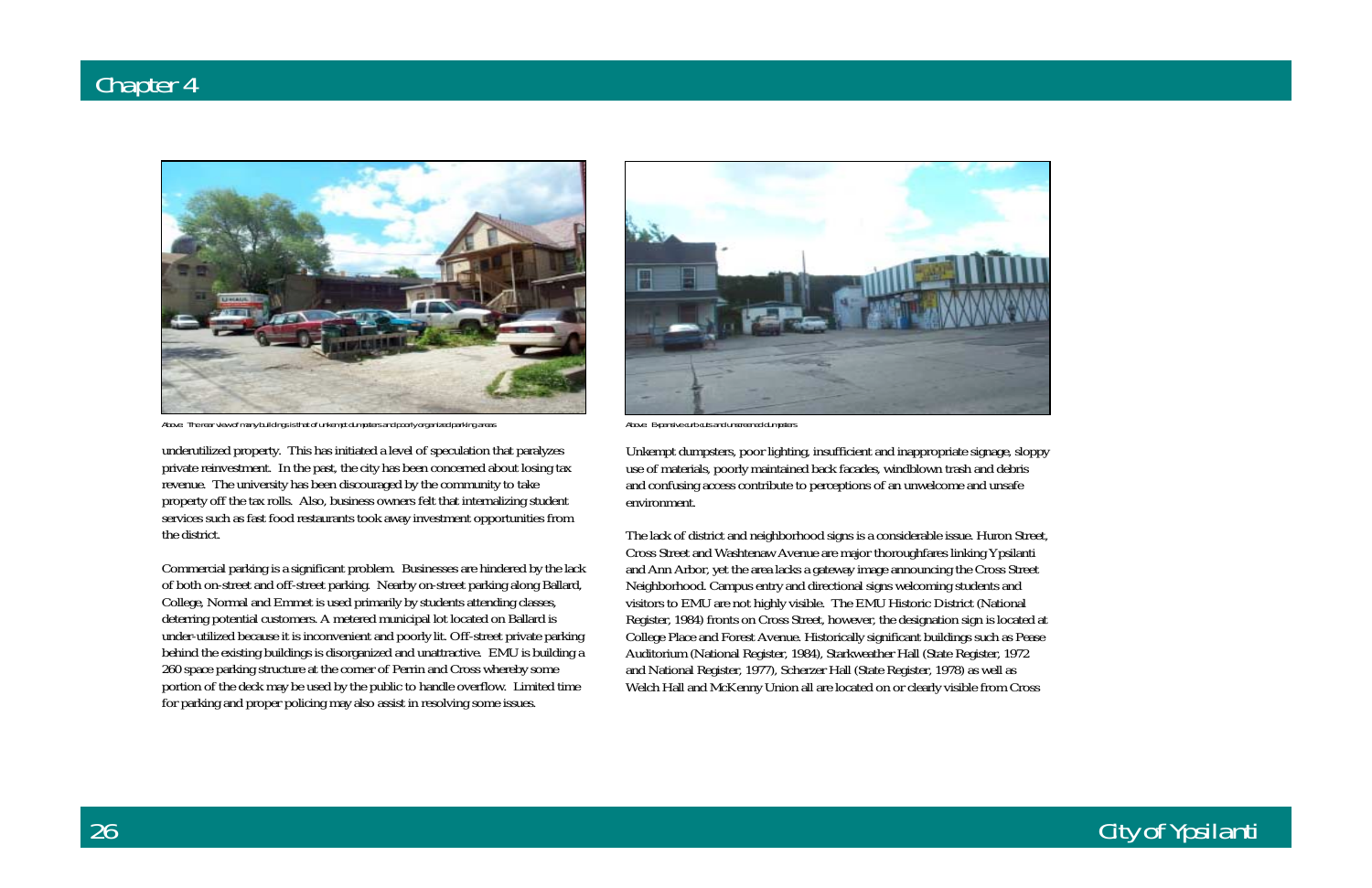

Above: The rear view of many buildings is that of unkempt dumpsters and poorly organized parking areas Above: Expansive curb cuts and unscreened dumpsters

# City of Ypsilanti

underutilized property. This has initiated a level of speculation that paralyzes private reinvestment. In the past, the city has been concerned about losing tax revenue. The university has been discouraged by the community to take property off the tax rolls. Also, business owners felt that internalizing student services such as fast food restaurants took away investment opportunities from the district.

Commercial parking is a significant problem. Businesses are hindered by the lack of both on-street and off-street parking. Nearby on-street parking along Ballard, College, Normal and Emmet is used primarily by students attending classes, deterring potential customers. A metered municipal lot located on Ballard is under-utilized because it is inconvenient and poorly lit. Off-street private parking behind the existing buildings is disorganized and unattractive. EMU is building a 260 space parking structure at the corner of Perrin and Cross whereby some portion of the deck may be used by the public to handle overflow. Limited time for parking and proper policing may also assist in resolving some issues.



Unkempt dumpsters, poor lighting, insufficient and inappropriate signage, sloppy use of materials, poorly maintained back facades, windblown trash and debris and confusing access contribute to perceptions of an unwelcome and unsafe environment.

The lack of district and neighborhood signs is a considerable issue. Huron Street, Cross Street and Washtenaw Avenue are major thoroughfares linking Ypsilanti and Ann Arbor, yet the area lacks a gateway image announcing the Cross Street Neighborhood. Campus entry and directional signs welcoming students and visitors to EMU are not highly visible. The EMU Historic District (National Register, 1984) fronts on Cross Street, however, the designation sign is located at College Place and Forest Avenue. Historically significant buildings such as Pease Auditorium (National Register, 1984), Starkweather Hall (State Register, 1972 and National Register, 1977), Scherzer Hall (State Register, 1978) as well as Welch Hall and McKenny Union all are located on or clearly visible from Cross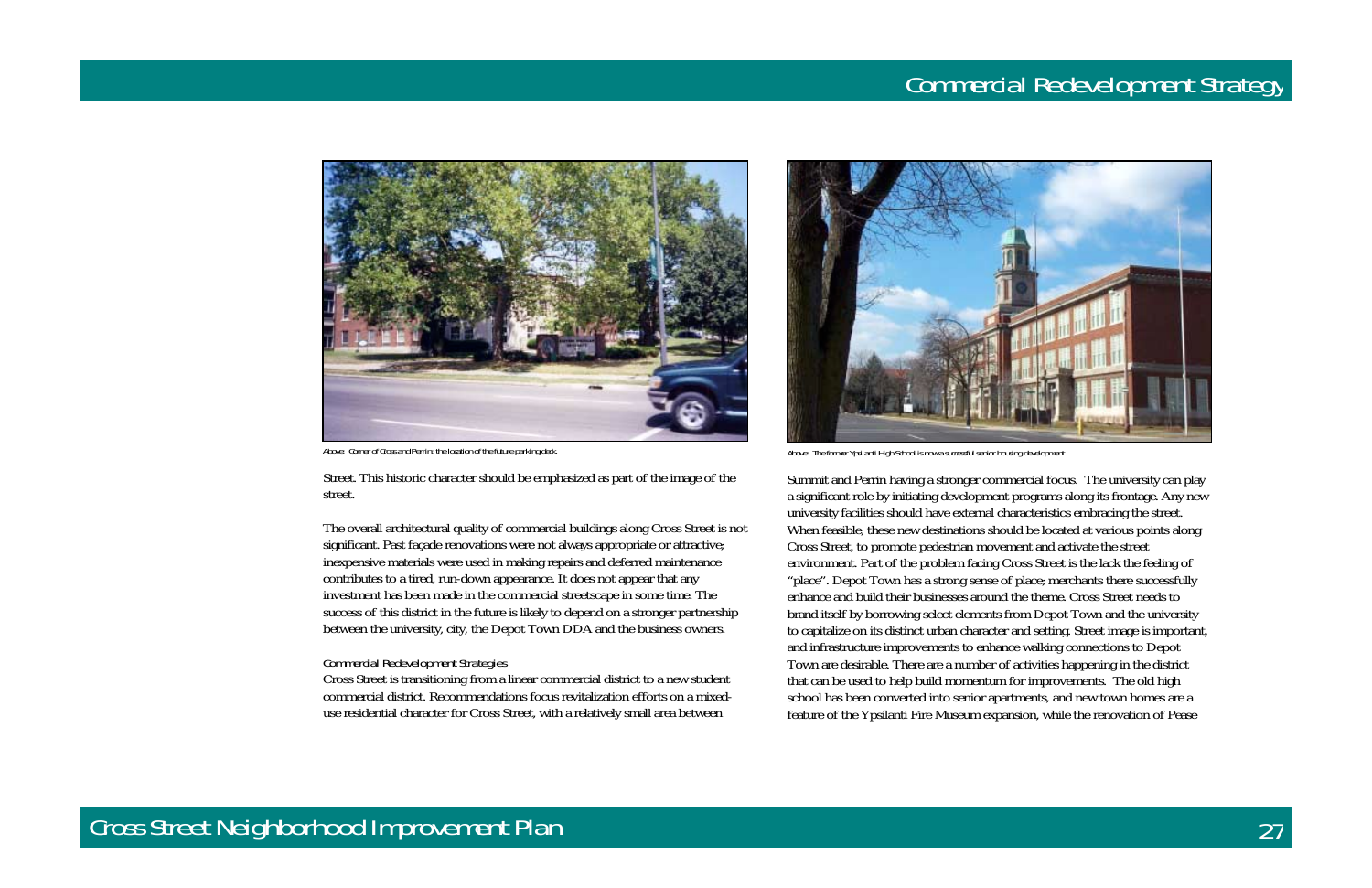



Street. This historic character should be emphasized as part of the image of the street.

The overall architectural quality of commercial buildings along Cross Street is not significant. Past façade renovations were not always appropriate or attractive; inexpensive materials were used in making repairs and deferred maintenance contributes to a tired, run-down appearance. It does not appear that any investment has been made in the commercial streetscape in some time. The success of this district in the future is likely to depend on a stronger partnership between the university, city, the Depot Town DDA and the business owners.

#### Commercial Redevelopment Strategies

Cross Street is transitioning from a linear commercial district to a new student commercial district. Recommendations focus revitalization efforts on a mixeduse residential character for Cross Street, with a relatively small area between



Above: Corner of Cross and Perrin: the location of the future parking deck. <br>Above: The former Ypsilanti High School is now a successful senior housing development.

Summit and Perrin having a stronger commercial focus. The university can play a significant role by initiating development programs along its frontage. Any new university facilities should have external characteristics embracing the street. When feasible, these new destinations should be located at various points along Cross Street, to promote pedestrian movement and activate the street environment. Part of the problem facing Cross Street is the lack the feeling of "place". Depot Town has a strong sense of place; merchants there successfully enhance and build their businesses around the theme. Cross Street needs to brand itself by borrowing select elements from Depot Town and the university to capitalize on its distinct urban character and setting. Street image is important, and infrastructure improvements to enhance walking connections to Depot Town are desirable. There are a number of activities happening in the district that can be used to help build momentum for improvements. The old high school has been converted into senior apartments, and new town homes are a feature of the Ypsilanti Fire Museum expansion, while the renovation of Pease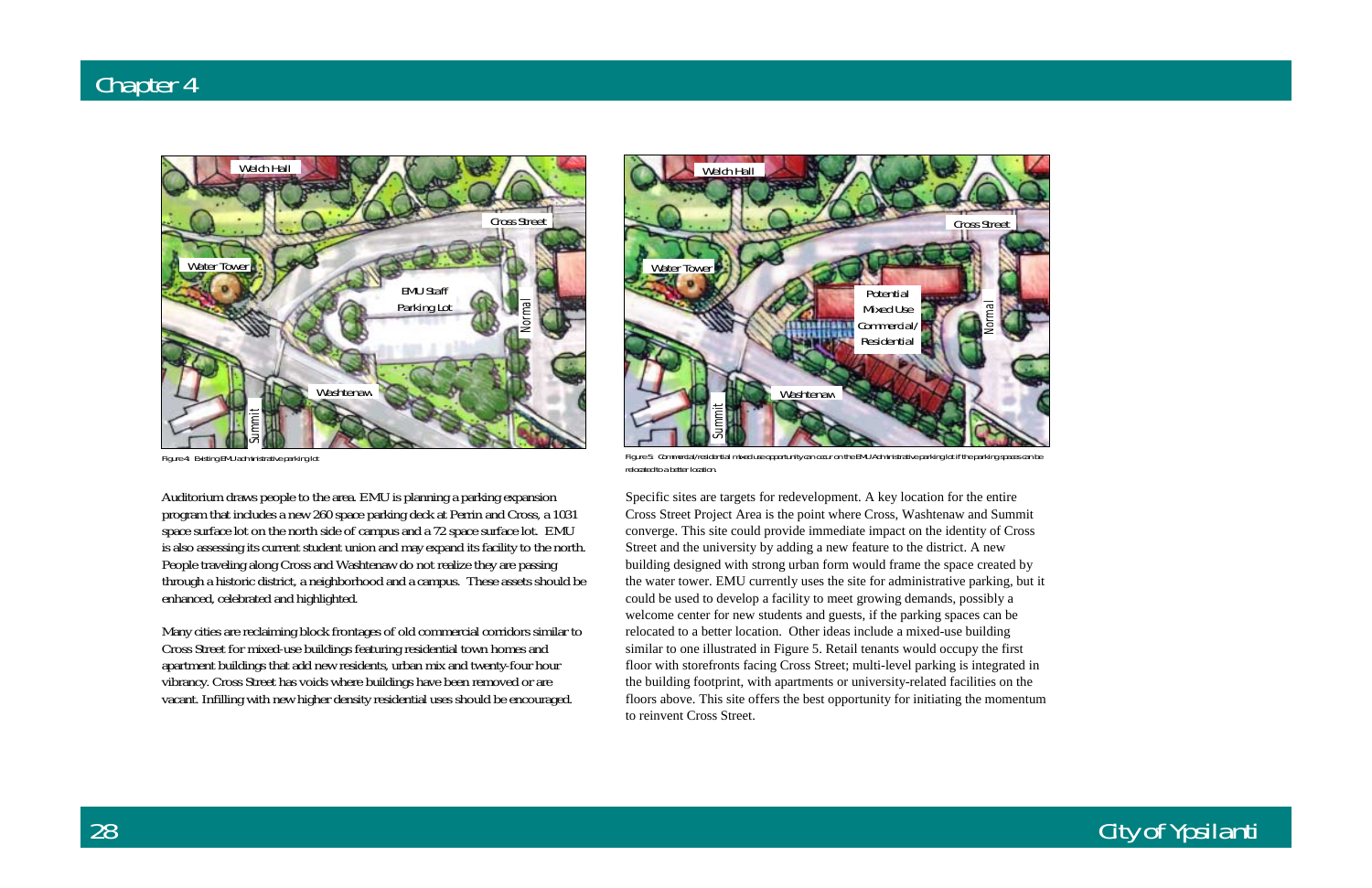### City of Ypsilanti

Auditorium draws people to the area. EMU is planning a parking expansion program that includes a new 260 space parking deck at Perrin and Cross, a 1031 space surface lot on the north side of campus and a 72 space surface lot. EMU is also assessing its current student union and may expand its facility to the north. People traveling along Cross and Washtenaw do not realize they are passing through a historic district, a neighborhood and a campus. These assets should be enhanced, celebrated and highlighted.

Many cities are reclaiming block frontages of old commercial corridors similar to Cross Street for mixed-use buildings featuring residential town homes and apartment buildings that add new residents, urban mix and twenty-four hour vibrancy. Cross Street has voids where buildings have been removed or are vacant. Infilling with new higher density residential uses should be encouraged.

Specific sites are targets for redevelopment. A key location for the entire Cross Street Project Area is the point where Cross, Washtenaw and Summit converge. This site could provide immediate impact on the identity of Cross Street and the university by adding a new feature to the district. A new building designed with strong urban form would frame the space created by the water tower. EMU currently uses the site for administrative parking, but it could be used to develop a facility to meet growing demands, possibly a welcome center for new students and guests, if the parking spaces can be relocated to a better location. Other ideas include a mixed-use building similar to one illustrated in Figure 5. Retail tenants would occupy the first floor with storefronts facing Cross Street; multi-level parking is integrated in the building footprint, with apartments or university-related facilities on the floors above. This site offers the best opportunity for initiating the momentum to reinvent Cross Street.



Figure 4: Existing EMU administrative parking lot



Figure 5: Commercial/residential mixed use opportunity can occur on the EMU Administrative parking lot if the parking spaces can be relocated to a better location.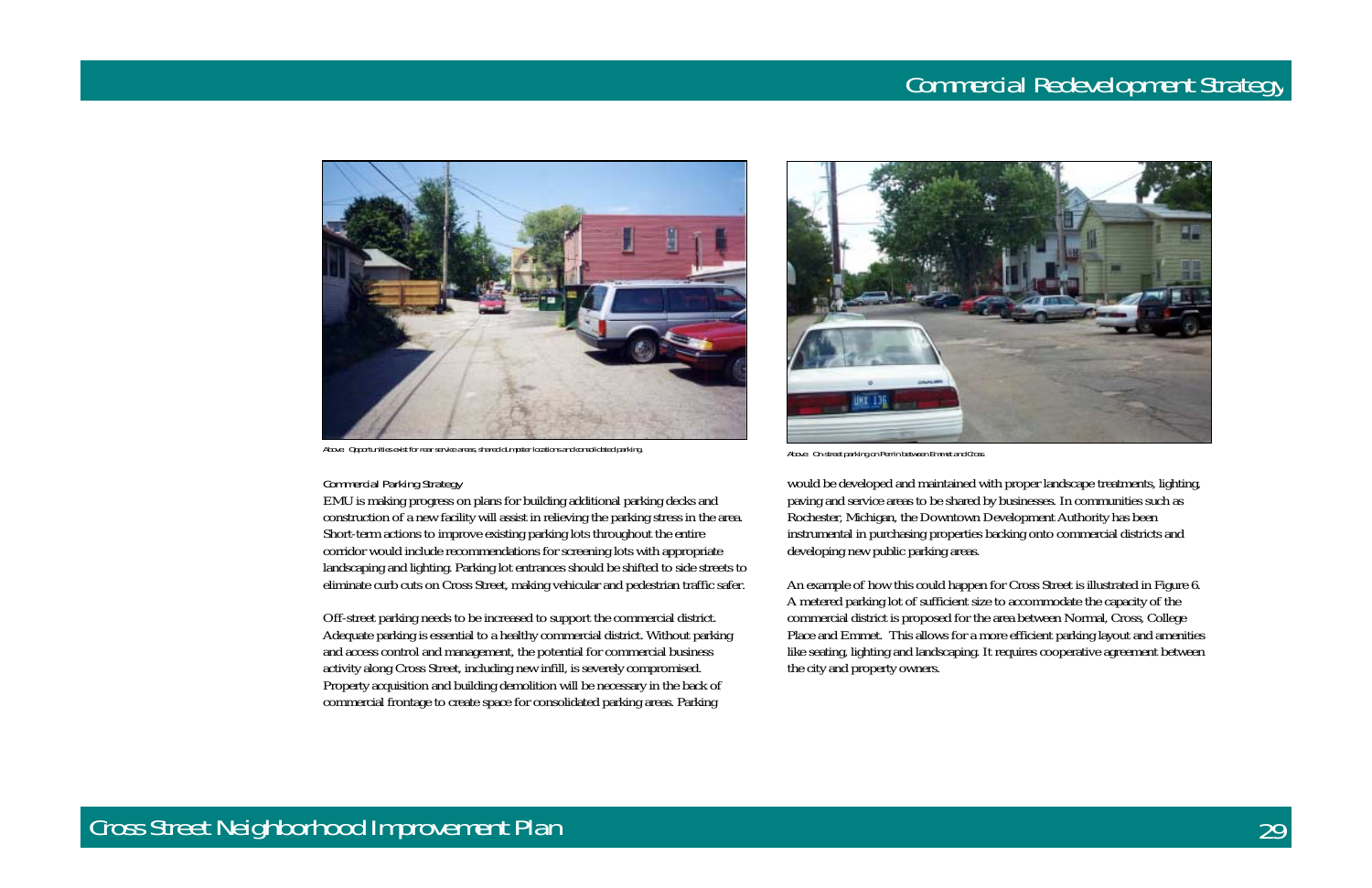

Above: Opportunities exist for rear service areas, shared dumpster locations and consolidated parking.<br>Above: On-street parking on Perrin between Emmet and Cross

### Cross Street Neighborhood Improvement Plan 29



#### Commercial Parking Strategy

EMU is making progress on plans for building additional parking decks and construction of a new facility will assist in relieving the parking stress in the area. Short-term actions to improve existing parking lots throughout the entire corridor would include recommendations for screening lots with appropriate landscaping and lighting. Parking lot entrances should be shifted to side streets to eliminate curb cuts on Cross Street, making vehicular and pedestrian traffic safer.

Off-street parking needs to be increased to support the commercial district. Adequate parking is essential to a healthy commercial district. Without parking and access control and management, the potential for commercial business activity along Cross Street, including new infill, is severely compromised. Property acquisition and building demolition will be necessary in the back of commercial frontage to create space for consolidated parking areas. Parking



would be developed and maintained with proper landscape treatments, lighting, paving and service areas to be shared by businesses. In communities such as Rochester, Michigan, the Downtown Development Authority has been instrumental in purchasing properties backing onto commercial districts and developing new public parking areas.

An example of how this could happen for Cross Street is illustrated in Figure 6. A metered parking lot of sufficient size to accommodate the capacity of the commercial district is proposed for the area between Normal, Cross, College Place and Emmet. This allows for a more efficient parking layout and amenities like seating, lighting and landscaping. It requires cooperative agreement between the city and property owners.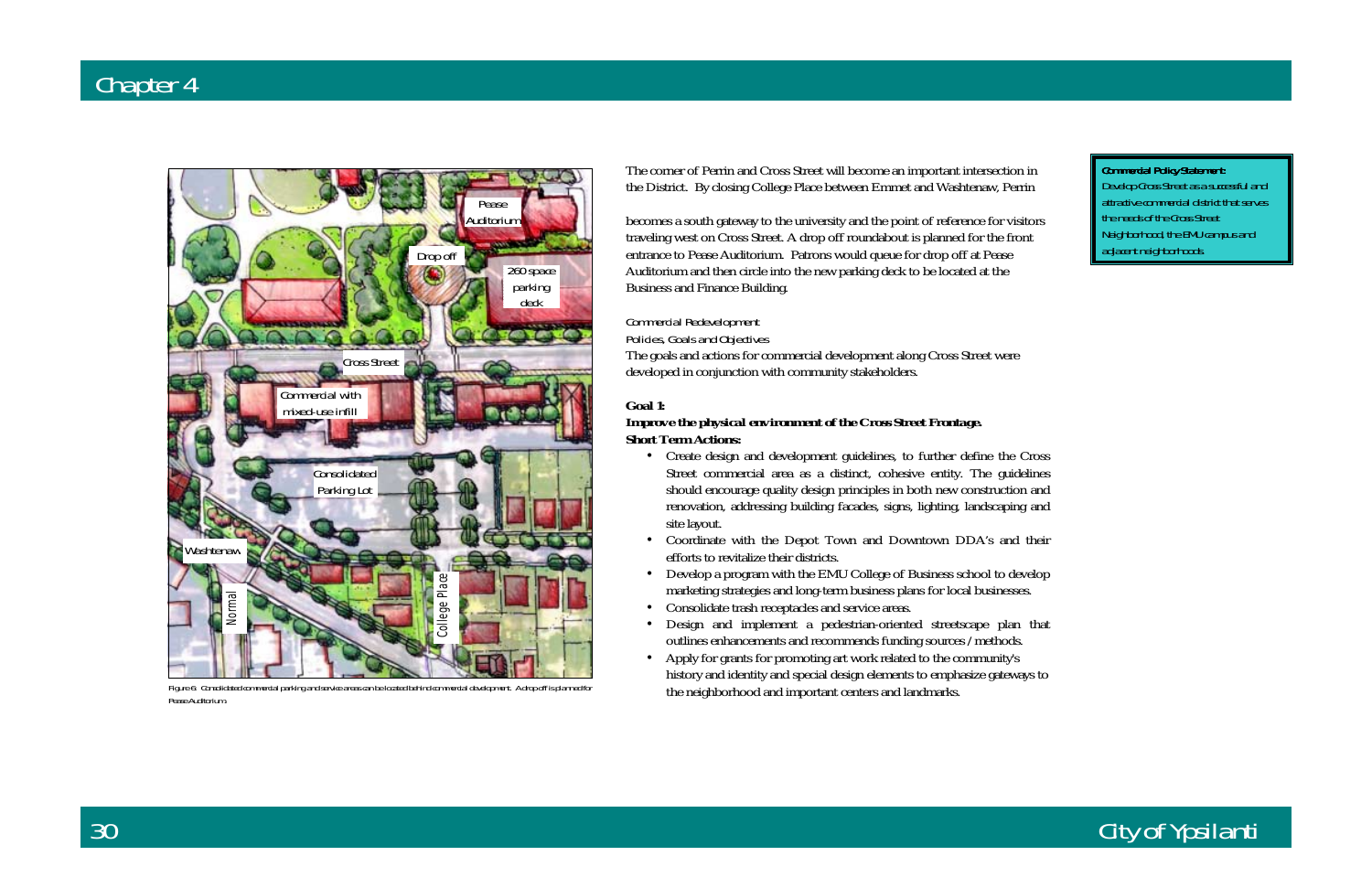Commercial Policy Statement:

# City of Ypsilanti

The corner of Perrin and Cross Street will become an important intersection in the District. By closing College Place between Emmet and Washtenaw, Perrin

becomes a south gateway to the university and the point of reference for visitors traveling west on Cross Street. A drop off roundabout is planned for the front entrance to Pease Auditorium. Patrons would queue for drop off at Pease Auditorium and then circle into the new parking deck to be located at the Business and Finance Building.

### Commercial Redevelopment

### Policies, Goals and Objectives

The goals and actions for commercial development along Cross Street were developed in conjunction with community stakeholders.

### **Goal 1:**

### *Improve the physical environment of the Cross Street Frontage.*  **Short Term Actions:**

- Create design and development guidelines, to further define the Cross Street commercial area as a distinct, cohesive entity. The guidelines should encourage quality design principles in both new construction and renovation, addressing building facades, signs, lighting, landscaping and site layout.
- Coordinate with the Depot Town and Downtown DDA's and their efforts to revitalize their districts.
- Develop a program with the EMU College of Business school to develop marketing strategies and long-term business plans for local businesses.
- Consolidate trash receptacles and service areas.
- Design and implement a pedestrian-oriented streetscape plan that outlines enhancements and recommends funding sources /methods.
- Apply for grants for promoting art work related to the community's history and identity and special design elements to emphasize gateways to the neighborhood and important centers and landmarks.

Develop Cross Street as a successful and attractive commercial district that serves the needs of the Cross Street Neighborhood, the EMU campus and adjacent neighborhoods.



Figure 6: Consolidated commercial parking and service areas can be located behind commercial development. A drop off is planned for Pease Auditorium.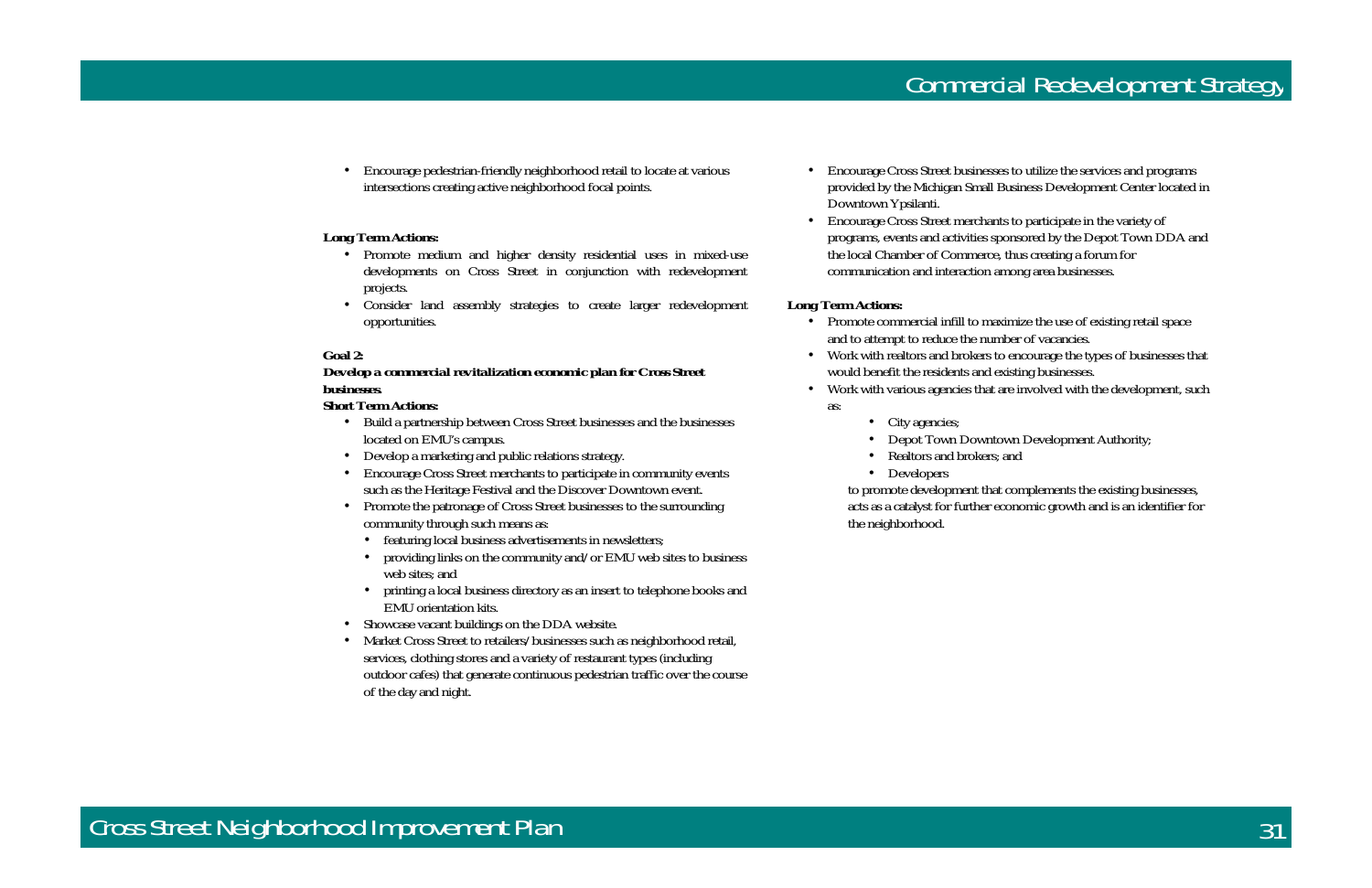• Encourage pedestrian-friendly neighborhood retail to locate at various intersections creating active neighborhood focal points.

### **Long Term Actions:**

- Promote medium and higher density residential uses in mixed-use developments on Cross Street in conjunction with redevelopment projects.
- Consider land assembly strategies to create larger redevelopment opportunities.

#### **Goal 2:**

### *Develop a commercial revitalization economic plan for Cross Street businesses.*

#### **Short Term Actions:**

- Build a partnership between Cross Street businesses and the businesses located on EMU's campus.
- Develop a marketing and public relations strategy.
- Encourage Cross Street merchants to participate in community events such as the Heritage Festival and the Discover Downtown event.
- Promote the patronage of Cross Street businesses to the surrounding community through such means as:
	- featuring local business advertisements in newsletters;
	- providing links on the community and/or EMU web sites to business web sites; and
	- printing a local business directory as an insert to telephone books and EMU orientation kits.
- Showcase vacant buildings on the DDA website.
- Market Cross Street to retailers/businesses such as neighborhood retail, services, clothing stores and a variety of restaurant types (including outdoor cafes) that generate continuous pedestrian traffic over the course of the day and night.
- Promote commercial infill to maximize the use of existing retail space and to attempt to reduce the number of vacancies.
- would benefit the residents and existing businesses.
- Work with various agencies that are involved with the development, such as:
	- City agencies;
	-
	- Realtors and brokers; and
	- Developers

provided by the Michigan Small Business Development Center located in

- Encourage Cross Street businesses to utilize the services and programs Downtown Ypsilanti.
- Encourage Cross Street merchants to participate in the variety of the local Chamber of Commerce, thus creating a forum for communication and interaction among area businesses.

programs, events and activities sponsored by the Depot Town DDA and

### **Long Term Actions:**

• Work with realtors and brokers to encourage the types of businesses that

• Depot Town Downtown Development Authority;



to promote development that complements the existing businesses, acts as a catalyst for further economic growth and is an identifier for the neighborhood.